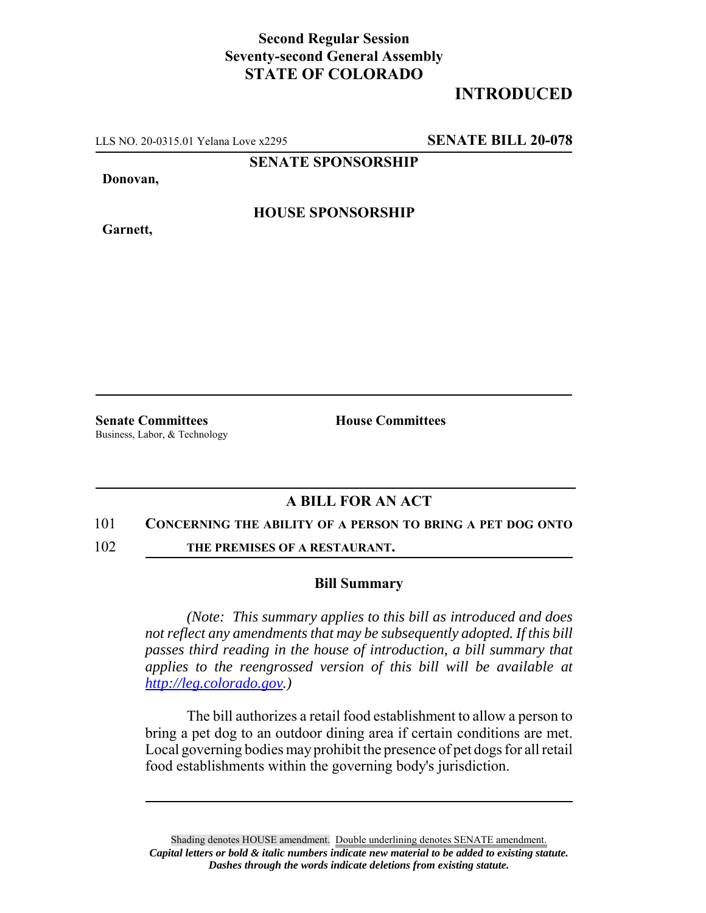## **Second Regular Session Seventy-second General Assembly STATE OF COLORADO**

# **INTRODUCED**

LLS NO. 20-0315.01 Yelana Love x2295 **SENATE BILL 20-078**

**SENATE SPONSORSHIP**

**Donovan,**

**HOUSE SPONSORSHIP**

**Garnett,**

**Senate Committees House Committees** Business, Labor, & Technology

## **A BILL FOR AN ACT**

#### 101 **CONCERNING THE ABILITY OF A PERSON TO BRING A PET DOG ONTO**

102 **THE PREMISES OF A RESTAURANT.**

### **Bill Summary**

*(Note: This summary applies to this bill as introduced and does not reflect any amendments that may be subsequently adopted. If this bill passes third reading in the house of introduction, a bill summary that applies to the reengrossed version of this bill will be available at http://leg.colorado.gov.)*

The bill authorizes a retail food establishment to allow a person to bring a pet dog to an outdoor dining area if certain conditions are met. Local governing bodies may prohibit the presence of pet dogs for all retail food establishments within the governing body's jurisdiction.

Shading denotes HOUSE amendment. Double underlining denotes SENATE amendment. *Capital letters or bold & italic numbers indicate new material to be added to existing statute. Dashes through the words indicate deletions from existing statute.*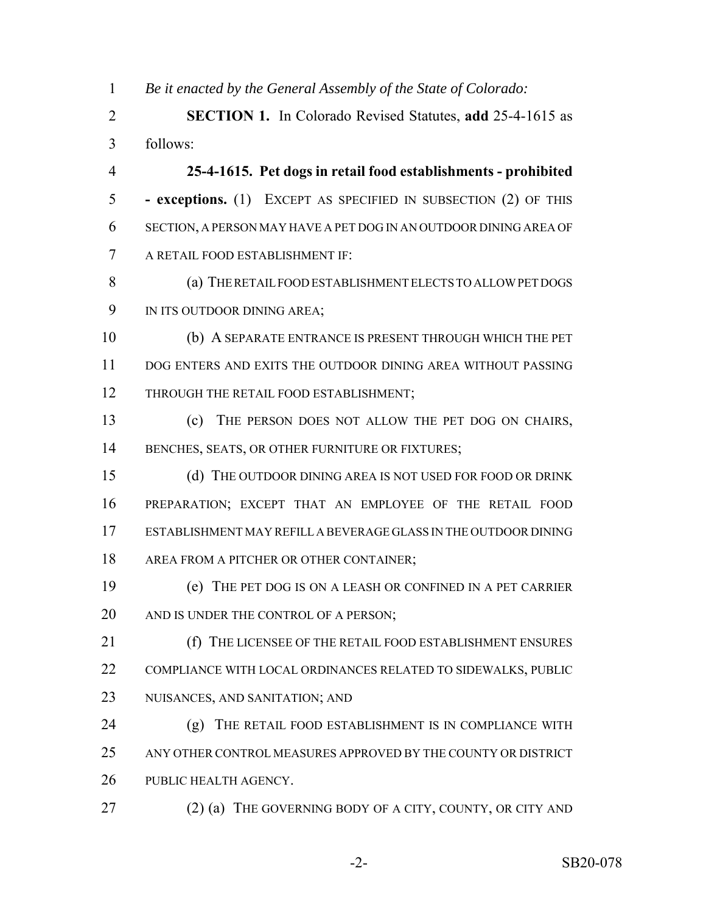*Be it enacted by the General Assembly of the State of Colorado:*

 **SECTION 1.** In Colorado Revised Statutes, **add** 25-4-1615 as follows:

 **25-4-1615. Pet dogs in retail food establishments - prohibited - exceptions.** (1) EXCEPT AS SPECIFIED IN SUBSECTION (2) OF THIS SECTION, A PERSON MAY HAVE A PET DOG IN AN OUTDOOR DINING AREA OF A RETAIL FOOD ESTABLISHMENT IF:

 (a) THE RETAIL FOOD ESTABLISHMENT ELECTS TO ALLOW PET DOGS IN ITS OUTDOOR DINING AREA;

 (b) A SEPARATE ENTRANCE IS PRESENT THROUGH WHICH THE PET DOG ENTERS AND EXITS THE OUTDOOR DINING AREA WITHOUT PASSING 12 THROUGH THE RETAIL FOOD ESTABLISHMENT;

 (c) THE PERSON DOES NOT ALLOW THE PET DOG ON CHAIRS, 14 BENCHES, SEATS, OR OTHER FURNITURE OR FIXTURES;

 (d) THE OUTDOOR DINING AREA IS NOT USED FOR FOOD OR DRINK PREPARATION; EXCEPT THAT AN EMPLOYEE OF THE RETAIL FOOD ESTABLISHMENT MAY REFILL A BEVERAGE GLASS IN THE OUTDOOR DINING AREA FROM A PITCHER OR OTHER CONTAINER;

 (e) THE PET DOG IS ON A LEASH OR CONFINED IN A PET CARRIER 20 AND IS UNDER THE CONTROL OF A PERSON;

 (f) THE LICENSEE OF THE RETAIL FOOD ESTABLISHMENT ENSURES COMPLIANCE WITH LOCAL ORDINANCES RELATED TO SIDEWALKS, PUBLIC NUISANCES, AND SANITATION; AND

 (g) THE RETAIL FOOD ESTABLISHMENT IS IN COMPLIANCE WITH ANY OTHER CONTROL MEASURES APPROVED BY THE COUNTY OR DISTRICT PUBLIC HEALTH AGENCY.

27 (2) (a) THE GOVERNING BODY OF A CITY, COUNTY, OR CITY AND